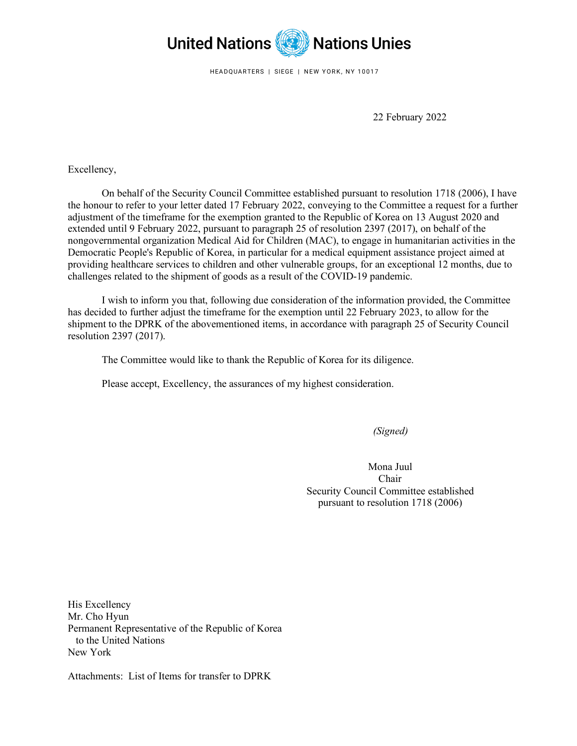

HEADQUARTERS | SIEGE | NEW YORK, NY 10017

22 February 2022

Excellency,

On behalf of the Security Council Committee established pursuant to resolution 1718 (2006), I have the honour to refer to your letter dated 17 February 2022, conveying to the Committee a request for a further adjustment of the timeframe for the exemption granted to the Republic of Korea on 13 August 2020 and extended until 9 February 2022, pursuant to paragraph 25 of resolution 2397 (2017), on behalf of the nongovernmental organization Medical Aid for Children (MAC), to engage in humanitarian activities in the Democratic People's Republic of Korea, in particular for a medical equipment assistance project aimed at providing healthcare services to children and other vulnerable groups, for an exceptional 12 months, due to challenges related to the shipment of goods as a result of the COVID-19 pandemic.

I wish to inform you that, following due consideration of the information provided, the Committee has decided to further adjust the timeframe for the exemption until 22 February 2023, to allow for the shipment to the DPRK of the abovementioned items, in accordance with paragraph 25 of Security Council resolution 2397 (2017).

The Committee would like to thank the Republic of Korea for its diligence.

Please accept, Excellency, the assurances of my highest consideration.

*(Signed)*

Mona Juul Chair Security Council Committee established pursuant to resolution 1718 (2006)

His Excellency Mr. Cho Hyun Permanent Representative of the Republic of Korea to the United Nations New York

Attachments: List of Items for transfer to DPRK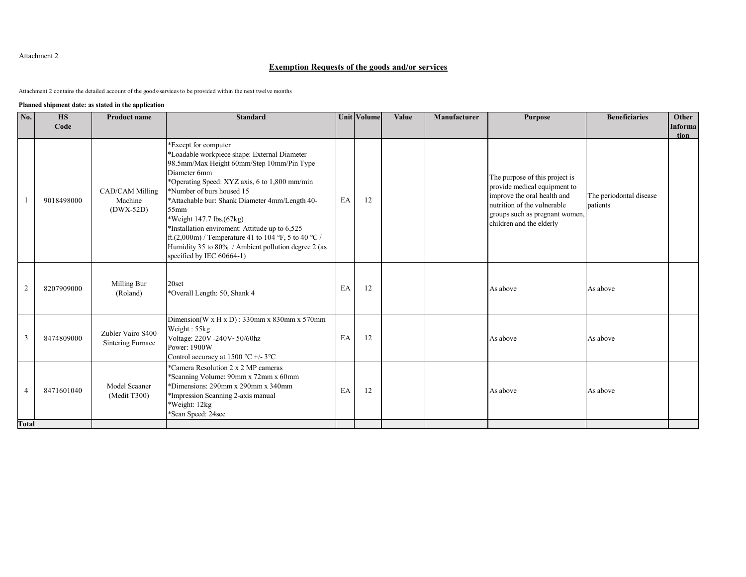## Attachment 2

## **Exemption Requests of the goods and/or services**

Attachment 2 contains the detailed account of the goods/services to be provided within the next twelve months

## **Planned shipment date: as stated in the application**

| No.          | <b>HS</b>  | <b>Product name</b>                       | <b>Standard</b>                                                                                                                                                                                                                                                                                                                                                                                                                                                                                        |    | Unit Volume | Value | Manufacturer | <b>Purpose</b>                                                                                                                                                                             | <b>Beneficiaries</b>                | Other          |
|--------------|------------|-------------------------------------------|--------------------------------------------------------------------------------------------------------------------------------------------------------------------------------------------------------------------------------------------------------------------------------------------------------------------------------------------------------------------------------------------------------------------------------------------------------------------------------------------------------|----|-------------|-------|--------------|--------------------------------------------------------------------------------------------------------------------------------------------------------------------------------------------|-------------------------------------|----------------|
|              | Code       |                                           |                                                                                                                                                                                                                                                                                                                                                                                                                                                                                                        |    |             |       |              |                                                                                                                                                                                            |                                     | <b>Informa</b> |
|              | 9018498000 | CAD/CAM Milling<br>Machine<br>$(DWX-52D)$ | *Except for computer<br>*Loadable workpiece shape: External Diameter<br>98.5mm/Max Height 60mm/Step 10mm/Pin Type<br>Diameter 6mm<br>*Operating Speed: XYZ axis, 6 to 1,800 mm/min<br>*Number of burs housed 15<br>*Attachable bur: Shank Diameter 4mm/Length 40-<br>$55$ mm<br>*Weight 147.7 lbs.(67kg)<br>*Installation enviroment: Attitude up to 6,525<br>ft.(2,000m) / Temperature 41 to 104 °F, 5 to 40 °C /<br>Humidity 35 to 80% / Ambient pollution degree 2 (as<br>specified by IEC 60664-1) | EA | 12          |       |              | The purpose of this project is<br>provide medical equipment to<br>improve the oral health and<br>nutrition of the vulnerable<br>groups such as pregnant women,<br>children and the elderly | The periodontal disease<br>patients | tion           |
| 2            | 8207909000 | Milling Bur<br>(Roland)                   | 20set<br>*Overall Length: 50, Shank 4                                                                                                                                                                                                                                                                                                                                                                                                                                                                  | EA | 12          |       |              | As above                                                                                                                                                                                   | As above                            |                |
| 3            | 8474809000 | Zubler Vairo S400<br>Sintering Furnace    | Dimension(W x H x D): 330mm x 830mm x 570mm<br>Weight: $55kg$<br>Voltage: 220V -240V~50/60hz<br>Power: 1900W<br>Control accuracy at 1500 °C +/- 3°C                                                                                                                                                                                                                                                                                                                                                    | EA | 12          |       |              | As above                                                                                                                                                                                   | As above                            |                |
| 4            | 8471601040 | Model Scaaner<br>(Medit T300)             | *Camera Resolution 2 x 2 MP cameras<br>*Scanning Volume: 90mm x 72mm x 60mm<br>*Dimensions: 290mm x 290mm x 340mm<br>*Impression Scanning 2-axis manual<br>*Weight: 12kg<br>*Scan Speed: 24sec                                                                                                                                                                                                                                                                                                         | EA | 12          |       |              | As above                                                                                                                                                                                   | As above                            |                |
| <b>Total</b> |            |                                           |                                                                                                                                                                                                                                                                                                                                                                                                                                                                                                        |    |             |       |              |                                                                                                                                                                                            |                                     |                |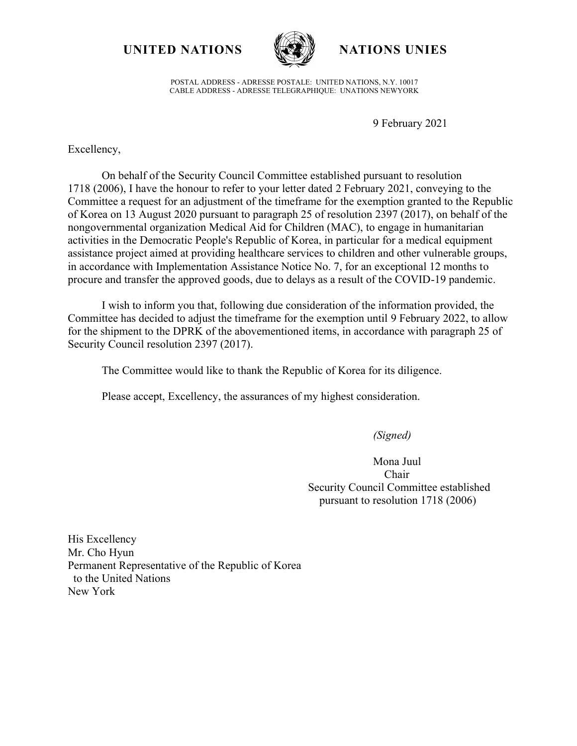**UNITED NATIONS NATIONS UNIES**



POSTAL ADDRESS - ADRESSE POSTALE: UNITED NATIONS, N.Y. 10017 CABLE ADDRESS - ADRESSE TELEGRAPHIQUE: UNATIONS NEWYORK

9 February 2021

Excellency,

On behalf of the Security Council Committee established pursuant to resolution 1718 (2006), I have the honour to refer to your letter dated 2 February 2021, conveying to the Committee a request for an adjustment of the timeframe for the exemption granted to the Republic of Korea on 13 August 2020 pursuant to paragraph 25 of resolution 2397 (2017), on behalf of the nongovernmental organization Medical Aid for Children (MAC), to engage in humanitarian activities in the Democratic People's Republic of Korea, in particular for a medical equipment assistance project aimed at providing healthcare services to children and other vulnerable groups, in accordance with Implementation Assistance Notice No. 7, for an exceptional 12 months to procure and transfer the approved goods, due to delays as a result of the COVID-19 pandemic.

I wish to inform you that, following due consideration of the information provided, the Committee has decided to adjust the timeframe for the exemption until 9 February 2022, to allow for the shipment to the DPRK of the abovementioned items, in accordance with paragraph 25 of Security Council resolution 2397 (2017).

The Committee would like to thank the Republic of Korea for its diligence.

Please accept, Excellency, the assurances of my highest consideration.

*(Signed)*

Mona Juul Chair Security Council Committee established pursuant to resolution 1718 (2006)

His Excellency Mr. Cho Hyun Permanent Representative of the Republic of Korea to the United Nations New York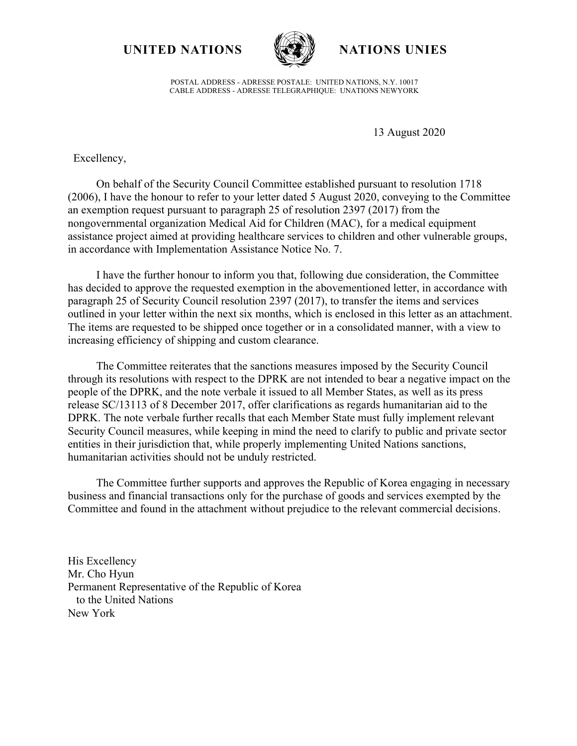**UNITED NATIONS WAS WATIONS UNIES** 



POSTAL ADDRESS - ADRESSE POSTALE: UNITED NATIONS, N.Y. 10017 CABLE ADDRESS - ADRESSE TELEGRAPHIQUE: UNATIONS NEWYORK

13 August 2020

Excellency,

On behalf of the Security Council Committee established pursuant to resolution 1718 (2006), I have the honour to refer to your letter dated 5 August 2020, conveying to the Committee an exemption request pursuant to paragraph 25 of resolution 2397 (2017) from the nongovernmental organization Medical Aid for Children (MAC), for a medical equipment assistance project aimed at providing healthcare services to children and other vulnerable groups, in accordance with Implementation Assistance Notice No. 7.

I have the further honour to inform you that, following due consideration, the Committee has decided to approve the requested exemption in the abovementioned letter, in accordance with paragraph 25 of Security Council resolution 2397 (2017), to transfer the items and services outlined in your letter within the next six months, which is enclosed in this letter as an attachment. The items are requested to be shipped once together or in a consolidated manner, with a view to increasing efficiency of shipping and custom clearance.

The Committee reiterates that the sanctions measures imposed by the Security Council through its resolutions with respect to the DPRK are not intended to bear a negative impact on the people of the DPRK, and the note verbale it issued to all Member States, as well as its press release SC/13113 of 8 December 2017, offer clarifications as regards humanitarian aid to the DPRK. The note verbale further recalls that each Member State must fully implement relevant Security Council measures, while keeping in mind the need to clarify to public and private sector entities in their jurisdiction that, while properly implementing United Nations sanctions, humanitarian activities should not be unduly restricted.

The Committee further supports and approves the Republic of Korea engaging in necessary business and financial transactions only for the purchase of goods and services exempted by the Committee and found in the attachment without prejudice to the relevant commercial decisions.

His Excellency Mr. Cho Hyun Permanent Representative of the Republic of Korea to the United Nations New York